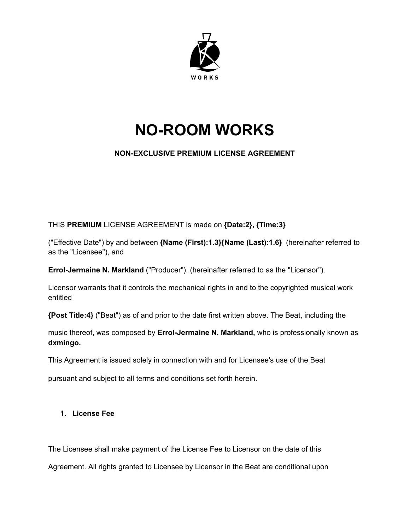

# **NO-ROOM WORKS**

# **NON-EXCLUSIVE PREMIUM LICENSE AGREEMENT**

THIS **PREMIUM** LICENSE AGREEMENT is made on **{Date:2}, {Time:3}**

("Effective Date") by and between **{Name (First):1.3}{Name (Last):1.6}** (hereinafter referred to as the "Licensee"), and

**Errol-Jermaine N. Markland** ("Producer"). (hereinafter referred to as the "Licensor").

Licensor warrants that it controls the mechanical rights in and to the copyrighted musical work entitled

**{Post Title:4}** ("Beat") as of and prior to the date first written above. The Beat, including the

music thereof, was composed by **Errol-Jermaine N. Markland,** who is professionally known as **dxmingo.**

This Agreement is issued solely in connection with and for Licensee's use of the Beat

pursuant and subject to all terms and conditions set forth herein.

## **1. License Fee**

The Licensee shall make payment of the License Fee to Licensor on the date of this

Agreement. All rights granted to Licensee by Licensor in the Beat are conditional upon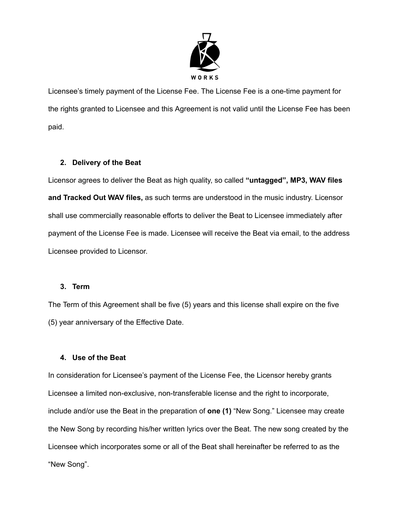

Licensee's timely payment of the License Fee. The License Fee is a one-time payment for the rights granted to Licensee and this Agreement is not valid until the License Fee has been paid.

## **2. Delivery of the Beat**

Licensor agrees to deliver the Beat as high quality, so called **"untagged", MP3, WAV files and Tracked Out WAV files,** as such terms are understood in the music industry. Licensor shall use commercially reasonable efforts to deliver the Beat to Licensee immediately after payment of the License Fee is made. Licensee will receive the Beat via email, to the address Licensee provided to Licensor.

### **3. Term**

The Term of this Agreement shall be five (5) years and this license shall expire on the five (5) year anniversary of the Effective Date.

### **4. Use of the Beat**

In consideration for Licensee's payment of the License Fee, the Licensor hereby grants Licensee a limited non-exclusive, non-transferable license and the right to incorporate, include and/or use the Beat in the preparation of **one (1)** "New Song." Licensee may create the New Song by recording his/her written lyrics over the Beat. The new song created by the Licensee which incorporates some or all of the Beat shall hereinafter be referred to as the "New Song".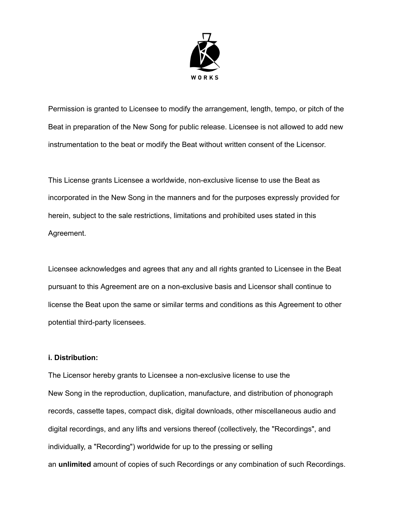

Permission is granted to Licensee to modify the arrangement, length, tempo, or pitch of the Beat in preparation of the New Song for public release. Licensee is not allowed to add new instrumentation to the beat or modify the Beat without written consent of the Licensor.

This License grants Licensee a worldwide, non-exclusive license to use the Beat as incorporated in the New Song in the manners and for the purposes expressly provided for herein, subject to the sale restrictions, limitations and prohibited uses stated in this Agreement.

Licensee acknowledges and agrees that any and all rights granted to Licensee in the Beat pursuant to this Agreement are on a non-exclusive basis and Licensor shall continue to license the Beat upon the same or similar terms and conditions as this Agreement to other potential third-party licensees.

### **i. Distribution:**

The Licensor hereby grants to Licensee a non-exclusive license to use the New Song in the reproduction, duplication, manufacture, and distribution of phonograph records, cassette tapes, compact disk, digital downloads, other miscellaneous audio and digital recordings, and any lifts and versions thereof (collectively, the "Recordings", and individually, a "Recording") worldwide for up to the pressing or selling an **unlimited** amount of copies of such Recordings or any combination of such Recordings.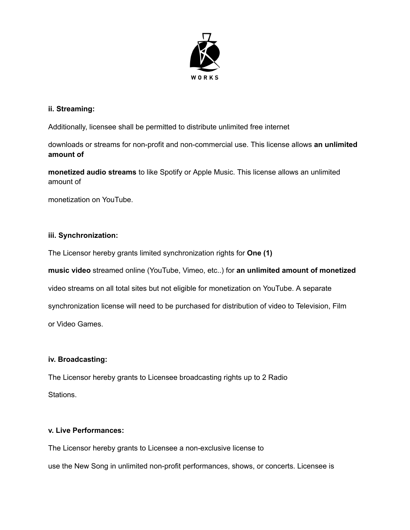

## **ii. Streaming:**

Additionally, licensee shall be permitted to distribute unlimited free internet

downloads or streams for non-profit and non-commercial use. This license allows **an unlimited amount of**

**monetized audio streams** to like Spotify or Apple Music. This license allows an unlimited amount of

monetization on YouTube.

## **iii. Synchronization:**

The Licensor hereby grants limited synchronization rights for **One (1)**

**music video** streamed online (YouTube, Vimeo, etc..) for **an unlimited amount of monetized**

video streams on all total sites but not eligible for monetization on YouTube. A separate

synchronization license will need to be purchased for distribution of video to Television, Film

or Video Games.

### **iv. Broadcasting:**

The Licensor hereby grants to Licensee broadcasting rights up to 2 Radio Stations.

## **v. Live Performances:**

The Licensor hereby grants to Licensee a non-exclusive license to use the New Song in unlimited non-profit performances, shows, or concerts. Licensee is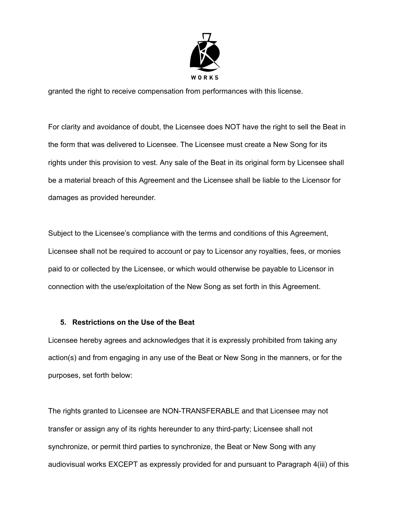

granted the right to receive compensation from performances with this license.

For clarity and avoidance of doubt, the Licensee does NOT have the right to sell the Beat in the form that was delivered to Licensee. The Licensee must create a New Song for its rights under this provision to vest. Any sale of the Beat in its original form by Licensee shall be a material breach of this Agreement and the Licensee shall be liable to the Licensor for damages as provided hereunder.

Subject to the Licensee's compliance with the terms and conditions of this Agreement, Licensee shall not be required to account or pay to Licensor any royalties, fees, or monies paid to or collected by the Licensee, or which would otherwise be payable to Licensor in connection with the use/exploitation of the New Song as set forth in this Agreement.

### **5. Restrictions on the Use of the Beat**

Licensee hereby agrees and acknowledges that it is expressly prohibited from taking any action(s) and from engaging in any use of the Beat or New Song in the manners, or for the purposes, set forth below:

The rights granted to Licensee are NON-TRANSFERABLE and that Licensee may not transfer or assign any of its rights hereunder to any third-party; Licensee shall not synchronize, or permit third parties to synchronize, the Beat or New Song with any audiovisual works EXCEPT as expressly provided for and pursuant to Paragraph 4(iii) of this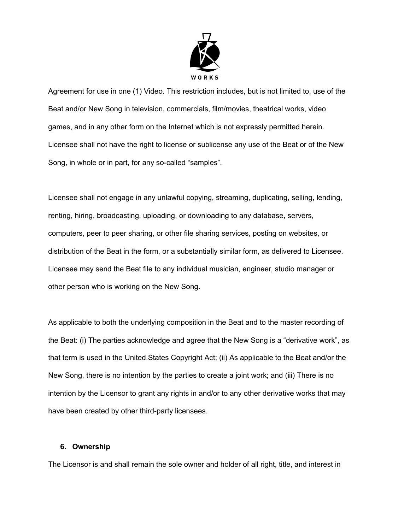

Agreement for use in one (1) Video. This restriction includes, but is not limited to, use of the Beat and/or New Song in television, commercials, film/movies, theatrical works, video games, and in any other form on the Internet which is not expressly permitted herein. Licensee shall not have the right to license or sublicense any use of the Beat or of the New Song, in whole or in part, for any so-called "samples".

Licensee shall not engage in any unlawful copying, streaming, duplicating, selling, lending, renting, hiring, broadcasting, uploading, or downloading to any database, servers, computers, peer to peer sharing, or other file sharing services, posting on websites, or distribution of the Beat in the form, or a substantially similar form, as delivered to Licensee. Licensee may send the Beat file to any individual musician, engineer, studio manager or other person who is working on the New Song.

As applicable to both the underlying composition in the Beat and to the master recording of the Beat: (i) The parties acknowledge and agree that the New Song is a "derivative work", as that term is used in the United States Copyright Act; (ii) As applicable to the Beat and/or the New Song, there is no intention by the parties to create a joint work; and (iii) There is no intention by the Licensor to grant any rights in and/or to any other derivative works that may have been created by other third-party licensees.

#### **6. Ownership**

The Licensor is and shall remain the sole owner and holder of all right, title, and interest in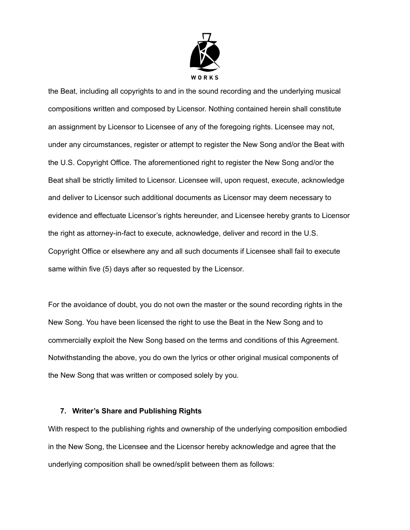

the Beat, including all copyrights to and in the sound recording and the underlying musical compositions written and composed by Licensor. Nothing contained herein shall constitute an assignment by Licensor to Licensee of any of the foregoing rights. Licensee may not, under any circumstances, register or attempt to register the New Song and/or the Beat with the U.S. Copyright Office. The aforementioned right to register the New Song and/or the Beat shall be strictly limited to Licensor. Licensee will, upon request, execute, acknowledge and deliver to Licensor such additional documents as Licensor may deem necessary to evidence and effectuate Licensor's rights hereunder, and Licensee hereby grants to Licensor the right as attorney-in-fact to execute, acknowledge, deliver and record in the U.S. Copyright Office or elsewhere any and all such documents if Licensee shall fail to execute same within five (5) days after so requested by the Licensor.

For the avoidance of doubt, you do not own the master or the sound recording rights in the New Song. You have been licensed the right to use the Beat in the New Song and to commercially exploit the New Song based on the terms and conditions of this Agreement. Notwithstanding the above, you do own the lyrics or other original musical components of the New Song that was written or composed solely by you.

#### **7. Writer's Share and Publishing Rights**

With respect to the publishing rights and ownership of the underlying composition embodied in the New Song, the Licensee and the Licensor hereby acknowledge and agree that the underlying composition shall be owned/split between them as follows: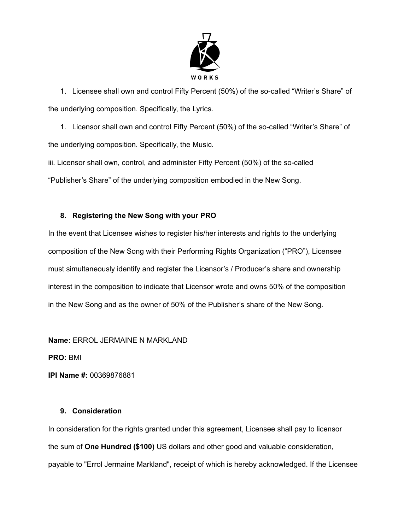

1. Licensee shall own and control Fifty Percent (50%) of the so-called "Writer's Share" of the underlying composition. Specifically, the Lyrics.

1. Licensor shall own and control Fifty Percent (50%) of the so-called "Writer's Share" of the underlying composition. Specifically, the Music.

iii. Licensor shall own, control, and administer Fifty Percent (50%) of the so-called "Publisher's Share" of the underlying composition embodied in the New Song.

# **8. Registering the New Song with your PRO**

In the event that Licensee wishes to register his/her interests and rights to the underlying composition of the New Song with their Performing Rights Organization ("PRO"), Licensee must simultaneously identify and register the Licensor's / Producer's share and ownership interest in the composition to indicate that Licensor wrote and owns 50% of the composition in the New Song and as the owner of 50% of the Publisher's share of the New Song.

**Name:** ERROL JERMAINE N MARKLAND

**PRO:** BMI

**IPI Name #:** 00369876881

### **9. Consideration**

In consideration for the rights granted under this agreement, Licensee shall pay to licensor the sum of **One Hundred (\$100)** US dollars and other good and valuable consideration, payable to "Errol Jermaine Markland", receipt of which is hereby acknowledged. If the Licensee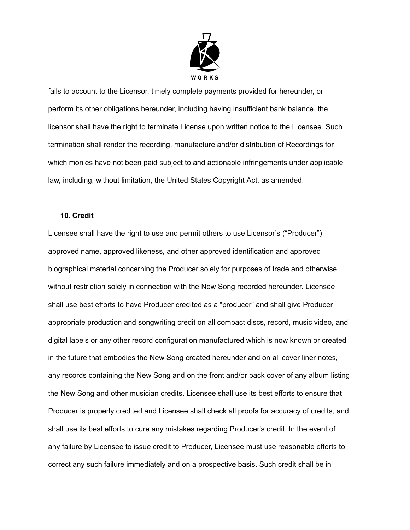

fails to account to the Licensor, timely complete payments provided for hereunder, or perform its other obligations hereunder, including having insufficient bank balance, the licensor shall have the right to terminate License upon written notice to the Licensee. Such termination shall render the recording, manufacture and/or distribution of Recordings for which monies have not been paid subject to and actionable infringements under applicable law, including, without limitation, the United States Copyright Act, as amended.

#### **10. Credit**

Licensee shall have the right to use and permit others to use Licensor's ("Producer") approved name, approved likeness, and other approved identification and approved biographical material concerning the Producer solely for purposes of trade and otherwise without restriction solely in connection with the New Song recorded hereunder. Licensee shall use best efforts to have Producer credited as a "producer" and shall give Producer appropriate production and songwriting credit on all compact discs, record, music video, and digital labels or any other record configuration manufactured which is now known or created in the future that embodies the New Song created hereunder and on all cover liner notes, any records containing the New Song and on the front and/or back cover of any album listing the New Song and other musician credits. Licensee shall use its best efforts to ensure that Producer is properly credited and Licensee shall check all proofs for accuracy of credits, and shall use its best efforts to cure any mistakes regarding Producer's credit. In the event of any failure by Licensee to issue credit to Producer, Licensee must use reasonable efforts to correct any such failure immediately and on a prospective basis. Such credit shall be in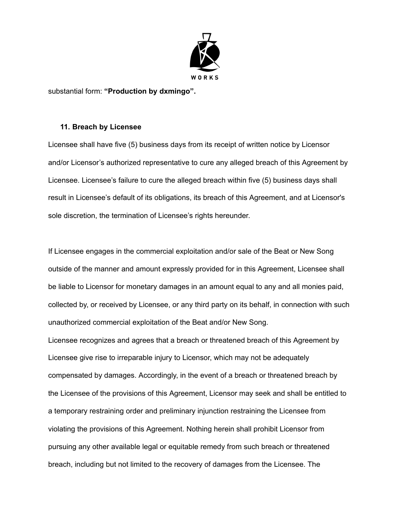

substantial form: **"Production by dxmingo".**

#### **11. Breach by Licensee**

Licensee shall have five (5) business days from its receipt of written notice by Licensor and/or Licensor's authorized representative to cure any alleged breach of this Agreement by Licensee. Licensee's failure to cure the alleged breach within five (5) business days shall result in Licensee's default of its obligations, its breach of this Agreement, and at Licensor's sole discretion, the termination of Licensee's rights hereunder.

If Licensee engages in the commercial exploitation and/or sale of the Beat or New Song outside of the manner and amount expressly provided for in this Agreement, Licensee shall be liable to Licensor for monetary damages in an amount equal to any and all monies paid, collected by, or received by Licensee, or any third party on its behalf, in connection with such unauthorized commercial exploitation of the Beat and/or New Song.

Licensee recognizes and agrees that a breach or threatened breach of this Agreement by Licensee give rise to irreparable injury to Licensor, which may not be adequately compensated by damages. Accordingly, in the event of a breach or threatened breach by the Licensee of the provisions of this Agreement, Licensor may seek and shall be entitled to a temporary restraining order and preliminary injunction restraining the Licensee from violating the provisions of this Agreement. Nothing herein shall prohibit Licensor from pursuing any other available legal or equitable remedy from such breach or threatened breach, including but not limited to the recovery of damages from the Licensee. The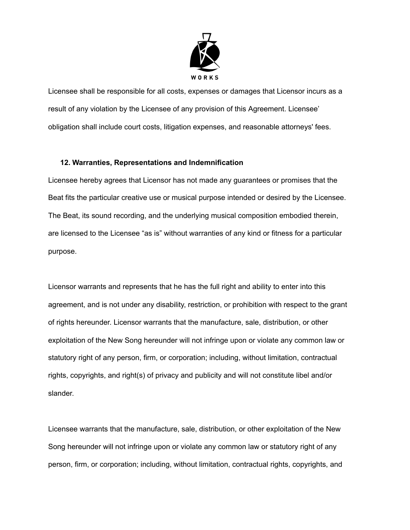

Licensee shall be responsible for all costs, expenses or damages that Licensor incurs as a result of any violation by the Licensee of any provision of this Agreement. Licensee' obligation shall include court costs, litigation expenses, and reasonable attorneys' fees.

### **12. Warranties, Representations and Indemnification**

Licensee hereby agrees that Licensor has not made any guarantees or promises that the Beat fits the particular creative use or musical purpose intended or desired by the Licensee. The Beat, its sound recording, and the underlying musical composition embodied therein, are licensed to the Licensee "as is" without warranties of any kind or fitness for a particular purpose.

Licensor warrants and represents that he has the full right and ability to enter into this agreement, and is not under any disability, restriction, or prohibition with respect to the grant of rights hereunder. Licensor warrants that the manufacture, sale, distribution, or other exploitation of the New Song hereunder will not infringe upon or violate any common law or statutory right of any person, firm, or corporation; including, without limitation, contractual rights, copyrights, and right(s) of privacy and publicity and will not constitute libel and/or slander.

Licensee warrants that the manufacture, sale, distribution, or other exploitation of the New Song hereunder will not infringe upon or violate any common law or statutory right of any person, firm, or corporation; including, without limitation, contractual rights, copyrights, and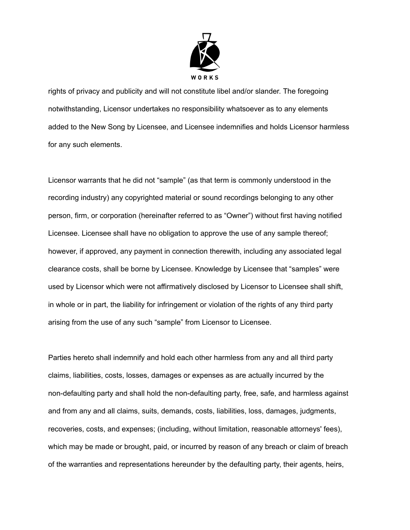

rights of privacy and publicity and will not constitute libel and/or slander. The foregoing notwithstanding, Licensor undertakes no responsibility whatsoever as to any elements added to the New Song by Licensee, and Licensee indemnifies and holds Licensor harmless for any such elements.

Licensor warrants that he did not "sample" (as that term is commonly understood in the recording industry) any copyrighted material or sound recordings belonging to any other person, firm, or corporation (hereinafter referred to as "Owner") without first having notified Licensee. Licensee shall have no obligation to approve the use of any sample thereof; however, if approved, any payment in connection therewith, including any associated legal clearance costs, shall be borne by Licensee. Knowledge by Licensee that "samples" were used by Licensor which were not affirmatively disclosed by Licensor to Licensee shall shift, in whole or in part, the liability for infringement or violation of the rights of any third party arising from the use of any such "sample" from Licensor to Licensee.

Parties hereto shall indemnify and hold each other harmless from any and all third party claims, liabilities, costs, losses, damages or expenses as are actually incurred by the non-defaulting party and shall hold the non-defaulting party, free, safe, and harmless against and from any and all claims, suits, demands, costs, liabilities, loss, damages, judgments, recoveries, costs, and expenses; (including, without limitation, reasonable attorneys' fees), which may be made or brought, paid, or incurred by reason of any breach or claim of breach of the warranties and representations hereunder by the defaulting party, their agents, heirs,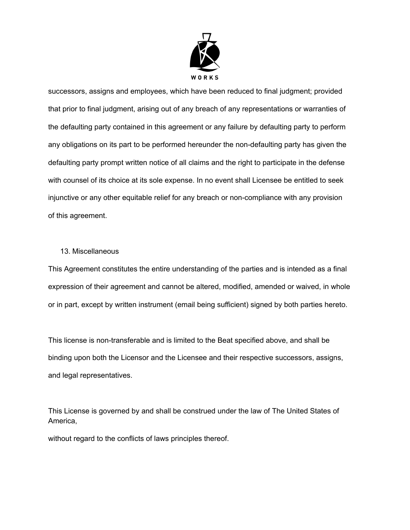

successors, assigns and employees, which have been reduced to final judgment; provided that prior to final judgment, arising out of any breach of any representations or warranties of the defaulting party contained in this agreement or any failure by defaulting party to perform any obligations on its part to be performed hereunder the non-defaulting party has given the defaulting party prompt written notice of all claims and the right to participate in the defense with counsel of its choice at its sole expense. In no event shall Licensee be entitled to seek injunctive or any other equitable relief for any breach or non-compliance with any provision of this agreement.

#### 13. Miscellaneous

This Agreement constitutes the entire understanding of the parties and is intended as a final expression of their agreement and cannot be altered, modified, amended or waived, in whole or in part, except by written instrument (email being sufficient) signed by both parties hereto.

This license is non-transferable and is limited to the Beat specified above, and shall be binding upon both the Licensor and the Licensee and their respective successors, assigns, and legal representatives.

This License is governed by and shall be construed under the law of The United States of America,

without regard to the conflicts of laws principles thereof.